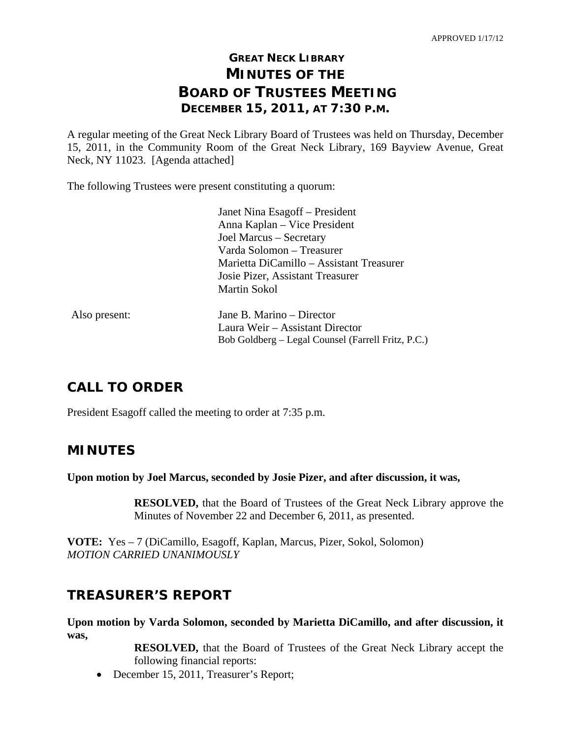# **GREAT NECK LIBRARY MINUTES OF THE BOARD OF TRUSTEES MEETING DECEMBER 15, 2011, AT 7:30 P.M.**

A regular meeting of the Great Neck Library Board of Trustees was held on Thursday, December 15, 2011, in the Community Room of the Great Neck Library, 169 Bayview Avenue, Great Neck, NY 11023. [Agenda attached]

The following Trustees were present constituting a quorum:

|               | Janet Nina Esagoff – President                     |
|---------------|----------------------------------------------------|
|               | Anna Kaplan – Vice President                       |
|               | Joel Marcus – Secretary                            |
|               | Varda Solomon – Treasurer                          |
|               | Marietta DiCamillo – Assistant Treasurer           |
|               | Josie Pizer, Assistant Treasurer                   |
|               | <b>Martin Sokol</b>                                |
| Also present: | Jane B. Marino – Director                          |
|               | Laura Weir – Assistant Director                    |
|               | Bob Goldberg – Legal Counsel (Farrell Fritz, P.C.) |

# **CALL TO ORDER**

President Esagoff called the meeting to order at 7:35 p.m.

# **MINUTES**

**Upon motion by Joel Marcus, seconded by Josie Pizer, and after discussion, it was,** 

**RESOLVED,** that the Board of Trustees of the Great Neck Library approve the Minutes of November 22 and December 6, 2011, as presented.

**VOTE:** Yes – 7 (DiCamillo, Esagoff, Kaplan, Marcus, Pizer, Sokol, Solomon) *MOTION CARRIED UNANIMOUSLY* 

# **TREASURER'S REPORT**

**Upon motion by Varda Solomon, seconded by Marietta DiCamillo, and after discussion, it was,** 

> **RESOLVED,** that the Board of Trustees of the Great Neck Library accept the following financial reports:

• December 15, 2011, Treasurer's Report;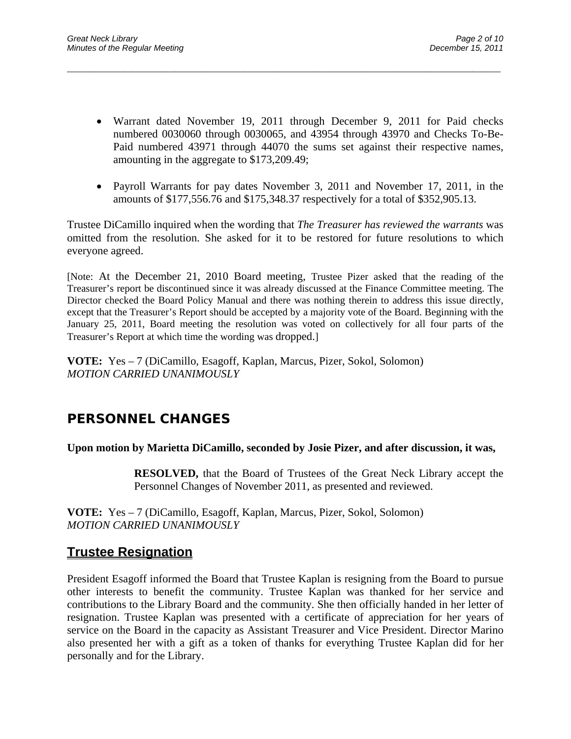Warrant dated November 19, 2011 through December 9, 2011 for Paid checks numbered 0030060 through 0030065, and 43954 through 43970 and Checks To-Be-Paid numbered 43971 through 44070 the sums set against their respective names, amounting in the aggregate to \$173,209.49;

 $\overline{a}$  , and the contribution of the contribution of the contribution of the contribution of the contribution of the contribution of the contribution of the contribution of the contribution of the contribution of the co

• Payroll Warrants for pay dates November 3, 2011 and November 17, 2011, in the amounts of \$177,556.76 and \$175,348.37 respectively for a total of \$352,905.13.

Trustee DiCamillo inquired when the wording that *The Treasurer has reviewed the warrants* was omitted from the resolution. She asked for it to be restored for future resolutions to which everyone agreed.

[Note: At the December 21, 2010 Board meeting, Trustee Pizer asked that the reading of the Treasurer's report be discontinued since it was already discussed at the Finance Committee meeting. The Director checked the Board Policy Manual and there was nothing therein to address this issue directly, except that the Treasurer's Report should be accepted by a majority vote of the Board. Beginning with the January 25, 2011, Board meeting the resolution was voted on collectively for all four parts of the Treasurer's Report at which time the wording was dropped.]

**VOTE:** Yes – 7 (DiCamillo, Esagoff, Kaplan, Marcus, Pizer, Sokol, Solomon) *MOTION CARRIED UNANIMOUSLY* 

# **PERSONNEL CHANGES**

## **Upon motion by Marietta DiCamillo, seconded by Josie Pizer, and after discussion, it was,**

**RESOLVED,** that the Board of Trustees of the Great Neck Library accept the Personnel Changes of November 2011, as presented and reviewed.

**VOTE:** Yes – 7 (DiCamillo, Esagoff, Kaplan, Marcus, Pizer, Sokol, Solomon) *MOTION CARRIED UNANIMOUSLY* 

## **Trustee Resignation**

President Esagoff informed the Board that Trustee Kaplan is resigning from the Board to pursue other interests to benefit the community. Trustee Kaplan was thanked for her service and contributions to the Library Board and the community. She then officially handed in her letter of resignation. Trustee Kaplan was presented with a certificate of appreciation for her years of service on the Board in the capacity as Assistant Treasurer and Vice President. Director Marino also presented her with a gift as a token of thanks for everything Trustee Kaplan did for her personally and for the Library.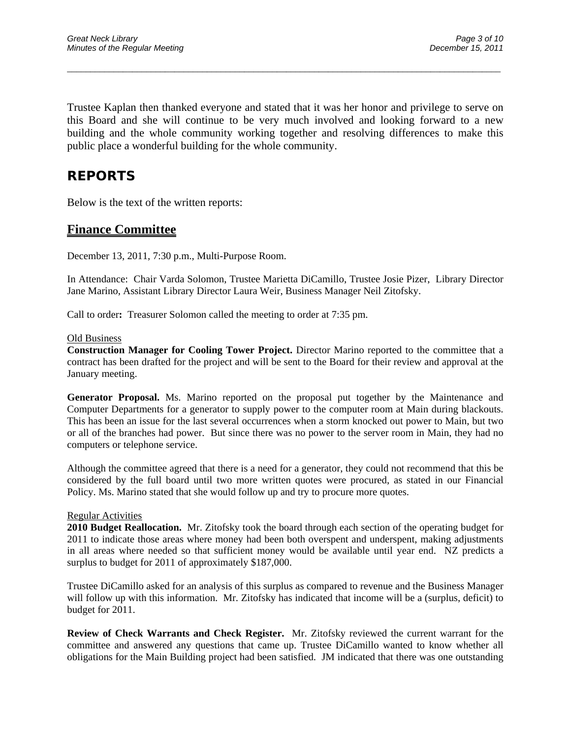Trustee Kaplan then thanked everyone and stated that it was her honor and privilege to serve on this Board and she will continue to be very much involved and looking forward to a new building and the whole community working together and resolving differences to make this public place a wonderful building for the whole community.

 $\overline{a}$  , and the contribution of the contribution of the contribution of the contribution of the contribution of the contribution of the contribution of the contribution of the contribution of the contribution of the co

# **REPORTS**

Below is the text of the written reports:

## **Finance Committee**

December 13, 2011, 7:30 p.m., Multi-Purpose Room.

In Attendance:Chair Varda Solomon, Trustee Marietta DiCamillo, Trustee Josie Pizer, Library Director Jane Marino, Assistant Library Director Laura Weir, Business Manager Neil Zitofsky.

Call to order**:** Treasurer Solomon called the meeting to order at 7:35 pm.

#### Old Business

**Construction Manager for Cooling Tower Project.** Director Marino reported to the committee that a contract has been drafted for the project and will be sent to the Board for their review and approval at the January meeting.

**Generator Proposal.** Ms. Marino reported on the proposal put together by the Maintenance and Computer Departments for a generator to supply power to the computer room at Main during blackouts. This has been an issue for the last several occurrences when a storm knocked out power to Main, but two or all of the branches had power. But since there was no power to the server room in Main, they had no computers or telephone service.

Although the committee agreed that there is a need for a generator, they could not recommend that this be considered by the full board until two more written quotes were procured, as stated in our Financial Policy. Ms. Marino stated that she would follow up and try to procure more quotes.

#### Regular Activities

**2010 Budget Reallocation.** Mr. Zitofsky took the board through each section of the operating budget for 2011 to indicate those areas where money had been both overspent and underspent, making adjustments in all areas where needed so that sufficient money would be available until year end. NZ predicts a surplus to budget for 2011 of approximately \$187,000.

Trustee DiCamillo asked for an analysis of this surplus as compared to revenue and the Business Manager will follow up with this information. Mr. Zitofsky has indicated that income will be a (surplus, deficit) to budget for 2011.

**Review of Check Warrants and Check Register.** Mr. Zitofsky reviewed the current warrant for the committee and answered any questions that came up. Trustee DiCamillo wanted to know whether all obligations for the Main Building project had been satisfied. JM indicated that there was one outstanding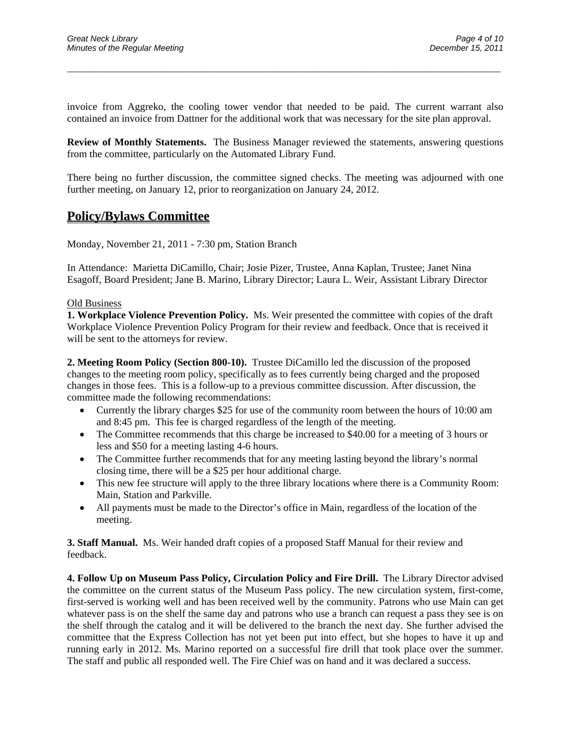invoice from Aggreko, the cooling tower vendor that needed to be paid. The current warrant also contained an invoice from Dattner for the additional work that was necessary for the site plan approval.

 $\overline{a}$  , and the contribution of the contribution of the contribution of the contribution of the contribution of the contribution of the contribution of the contribution of the contribution of the contribution of the co

**Review of Monthly Statements.** The Business Manager reviewed the statements, answering questions from the committee, particularly on the Automated Library Fund.

There being no further discussion, the committee signed checks. The meeting was adjourned with one further meeting, on January 12, prior to reorganization on January 24, 2012.

## **Policy/Bylaws Committee**

Monday, November 21, 2011 - 7:30 pm, Station Branch

In Attendance:Marietta DiCamillo, Chair; Josie Pizer, Trustee, Anna Kaplan, Trustee; Janet Nina Esagoff, Board President; Jane B. Marino, Library Director; Laura L. Weir, Assistant Library Director

#### Old Business

**1. Workplace Violence Prevention Policy.** Ms. Weir presented the committee with copies of the draft Workplace Violence Prevention Policy Program for their review and feedback. Once that is received it will be sent to the attorneys for review.

**2. Meeting Room Policy (Section 800-10).** Trustee DiCamillo led the discussion of the proposed changes to the meeting room policy, specifically as to fees currently being charged and the proposed changes in those fees. This is a follow-up to a previous committee discussion. After discussion, the committee made the following recommendations:

- Currently the library charges \$25 for use of the community room between the hours of 10:00 am and 8:45 pm. This fee is charged regardless of the length of the meeting.
- The Committee recommends that this charge be increased to \$40.00 for a meeting of 3 hours or less and \$50 for a meeting lasting 4-6 hours.
- The Committee further recommends that for any meeting lasting beyond the library's normal closing time, there will be a \$25 per hour additional charge.
- This new fee structure will apply to the three library locations where there is a Community Room: Main, Station and Parkville.
- All payments must be made to the Director's office in Main, regardless of the location of the meeting.

**3. Staff Manual.** Ms. Weir handed draft copies of a proposed Staff Manual for their review and feedback.

**4. Follow Up on Museum Pass Policy, Circulation Policy and Fire Drill.** The Library Director advised the committee on the current status of the Museum Pass policy. The new circulation system, first-come, first-served is working well and has been received well by the community. Patrons who use Main can get whatever pass is on the shelf the same day and patrons who use a branch can request a pass they see is on the shelf through the catalog and it will be delivered to the branch the next day. She further advised the committee that the Express Collection has not yet been put into effect, but she hopes to have it up and running early in 2012. Ms. Marino reported on a successful fire drill that took place over the summer. The staff and public all responded well. The Fire Chief was on hand and it was declared a success.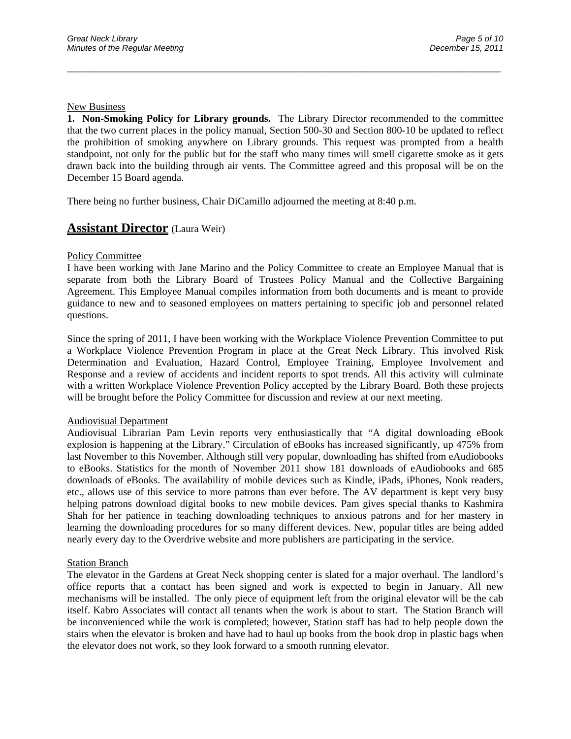#### New Business

**1. Non-Smoking Policy for Library grounds.** The Library Director recommended to the committee that the two current places in the policy manual, Section 500-30 and Section 800-10 be updated to reflect the prohibition of smoking anywhere on Library grounds. This request was prompted from a health standpoint, not only for the public but for the staff who many times will smell cigarette smoke as it gets drawn back into the building through air vents. The Committee agreed and this proposal will be on the December 15 Board agenda.

 $\overline{a}$  , and the contribution of the contribution of the contribution of the contribution of the contribution of the contribution of the contribution of the contribution of the contribution of the contribution of the co

There being no further business, Chair DiCamillo adjourned the meeting at 8:40 p.m.

## **Assistant Director** (Laura Weir)

#### Policy Committee

I have been working with Jane Marino and the Policy Committee to create an Employee Manual that is separate from both the Library Board of Trustees Policy Manual and the Collective Bargaining Agreement. This Employee Manual compiles information from both documents and is meant to provide guidance to new and to seasoned employees on matters pertaining to specific job and personnel related questions.

Since the spring of 2011, I have been working with the Workplace Violence Prevention Committee to put a Workplace Violence Prevention Program in place at the Great Neck Library. This involved Risk Determination and Evaluation, Hazard Control, Employee Training, Employee Involvement and Response and a review of accidents and incident reports to spot trends. All this activity will culminate with a written Workplace Violence Prevention Policy accepted by the Library Board. Both these projects will be brought before the Policy Committee for discussion and review at our next meeting.

#### Audiovisual Department

Audiovisual Librarian Pam Levin reports very enthusiastically that "A digital downloading eBook explosion is happening at the Library." Circulation of eBooks has increased significantly, up 475% from last November to this November. Although still very popular, downloading has shifted from eAudiobooks to eBooks. Statistics for the month of November 2011 show 181 downloads of eAudiobooks and 685 downloads of eBooks. The availability of mobile devices such as Kindle, iPads, iPhones, Nook readers, etc., allows use of this service to more patrons than ever before. The AV department is kept very busy helping patrons download digital books to new mobile devices. Pam gives special thanks to Kashmira Shah for her patience in teaching downloading techniques to anxious patrons and for her mastery in learning the downloading procedures for so many different devices. New, popular titles are being added nearly every day to the Overdrive website and more publishers are participating in the service.

#### **Station Branch**

The elevator in the Gardens at Great Neck shopping center is slated for a major overhaul. The landlord's office reports that a contact has been signed and work is expected to begin in January. All new mechanisms will be installed. The only piece of equipment left from the original elevator will be the cab itself. Kabro Associates will contact all tenants when the work is about to start. The Station Branch will be inconvenienced while the work is completed; however, Station staff has had to help people down the stairs when the elevator is broken and have had to haul up books from the book drop in plastic bags when the elevator does not work, so they look forward to a smooth running elevator.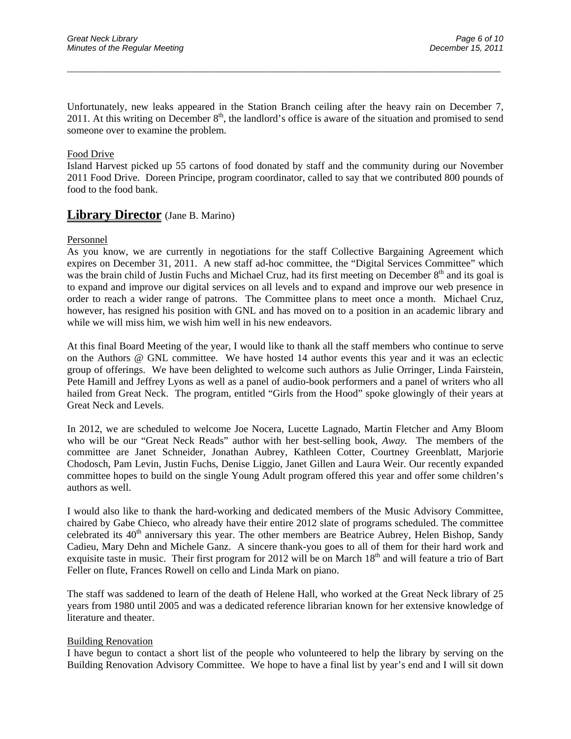Unfortunately, new leaks appeared in the Station Branch ceiling after the heavy rain on December 7, 2011. At this writing on December  $8<sup>th</sup>$ , the landlord's office is aware of the situation and promised to send someone over to examine the problem.

 $\overline{a}$  , and the contribution of the contribution of the contribution of the contribution of the contribution of the contribution of the contribution of the contribution of the contribution of the contribution of the co

#### Food Drive

Island Harvest picked up 55 cartons of food donated by staff and the community during our November 2011 Food Drive. Doreen Principe, program coordinator, called to say that we contributed 800 pounds of food to the food bank.

## **Library Director** (Jane B. Marino)

#### Personnel

As you know, we are currently in negotiations for the staff Collective Bargaining Agreement which expires on December 31, 2011. A new staff ad-hoc committee, the "Digital Services Committee" which was the brain child of Justin Fuchs and Michael Cruz, had its first meeting on December 8<sup>th</sup> and its goal is to expand and improve our digital services on all levels and to expand and improve our web presence in order to reach a wider range of patrons. The Committee plans to meet once a month. Michael Cruz, however, has resigned his position with GNL and has moved on to a position in an academic library and while we will miss him, we wish him well in his new endeavors.

At this final Board Meeting of the year, I would like to thank all the staff members who continue to serve on the Authors @ GNL committee. We have hosted 14 author events this year and it was an eclectic group of offerings. We have been delighted to welcome such authors as Julie Orringer, Linda Fairstein, Pete Hamill and Jeffrey Lyons as well as a panel of audio-book performers and a panel of writers who all hailed from Great Neck. The program, entitled "Girls from the Hood" spoke glowingly of their years at Great Neck and Levels.

In 2012, we are scheduled to welcome Joe Nocera, Lucette Lagnado, Martin Fletcher and Amy Bloom who will be our "Great Neck Reads" author with her best-selling book, *Away.* The members of the committee are Janet Schneider, Jonathan Aubrey, Kathleen Cotter, Courtney Greenblatt, Marjorie Chodosch, Pam Levin, Justin Fuchs, Denise Liggio, Janet Gillen and Laura Weir. Our recently expanded committee hopes to build on the single Young Adult program offered this year and offer some children's authors as well.

I would also like to thank the hard-working and dedicated members of the Music Advisory Committee, chaired by Gabe Chieco, who already have their entire 2012 slate of programs scheduled. The committee celebrated its  $40<sup>th</sup>$  anniversary this year. The other members are Beatrice Aubrey, Helen Bishop, Sandy Cadieu, Mary Dehn and Michele Ganz. A sincere thank-you goes to all of them for their hard work and exquisite taste in music. Their first program for 2012 will be on March 18<sup>th</sup> and will feature a trio of Bart Feller on flute, Frances Rowell on cello and Linda Mark on piano.

The staff was saddened to learn of the death of Helene Hall, who worked at the Great Neck library of 25 years from 1980 until 2005 and was a dedicated reference librarian known for her extensive knowledge of literature and theater.

#### Building Renovation

I have begun to contact a short list of the people who volunteered to help the library by serving on the Building Renovation Advisory Committee. We hope to have a final list by year's end and I will sit down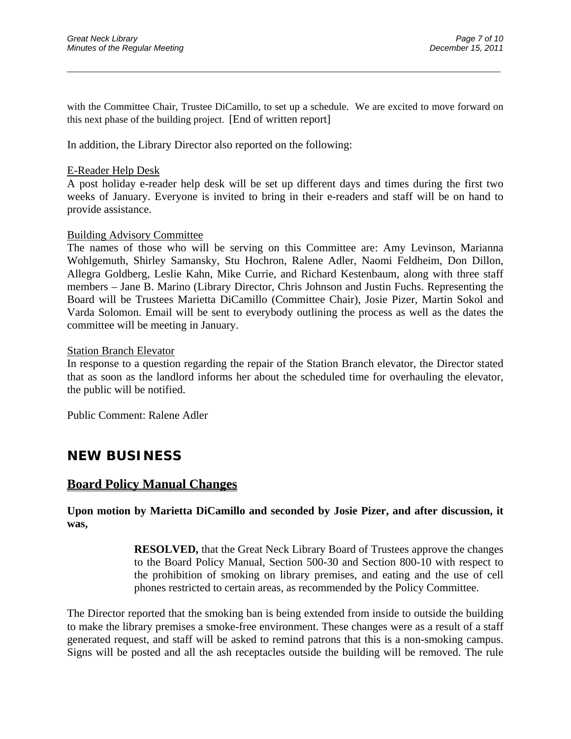with the Committee Chair, Trustee DiCamillo, to set up a schedule. We are excited to move forward on this next phase of the building project. [End of written report]

 $\overline{a}$  , and the contribution of the contribution of the contribution of the contribution of the contribution of the contribution of the contribution of the contribution of the contribution of the contribution of the co

In addition, the Library Director also reported on the following:

### E-Reader Help Desk

A post holiday e-reader help desk will be set up different days and times during the first two weeks of January. Everyone is invited to bring in their e-readers and staff will be on hand to provide assistance.

### Building Advisory Committee

The names of those who will be serving on this Committee are: Amy Levinson, Marianna Wohlgemuth, Shirley Samansky, Stu Hochron, Ralene Adler, Naomi Feldheim, Don Dillon, Allegra Goldberg, Leslie Kahn, Mike Currie, and Richard Kestenbaum, along with three staff members – Jane B. Marino (Library Director, Chris Johnson and Justin Fuchs. Representing the Board will be Trustees Marietta DiCamillo (Committee Chair), Josie Pizer, Martin Sokol and Varda Solomon. Email will be sent to everybody outlining the process as well as the dates the committee will be meeting in January.

### Station Branch Elevator

In response to a question regarding the repair of the Station Branch elevator, the Director stated that as soon as the landlord informs her about the scheduled time for overhauling the elevator, the public will be notified.

Public Comment: Ralene Adler

## **NEW BUSINESS**

## **Board Policy Manual Changes**

## **Upon motion by Marietta DiCamillo and seconded by Josie Pizer, and after discussion, it was,**

**RESOLVED,** that the Great Neck Library Board of Trustees approve the changes to the Board Policy Manual, Section 500-30 and Section 800-10 with respect to the prohibition of smoking on library premises, and eating and the use of cell phones restricted to certain areas, as recommended by the Policy Committee.

The Director reported that the smoking ban is being extended from inside to outside the building to make the library premises a smoke-free environment. These changes were as a result of a staff generated request, and staff will be asked to remind patrons that this is a non-smoking campus. Signs will be posted and all the ash receptacles outside the building will be removed. The rule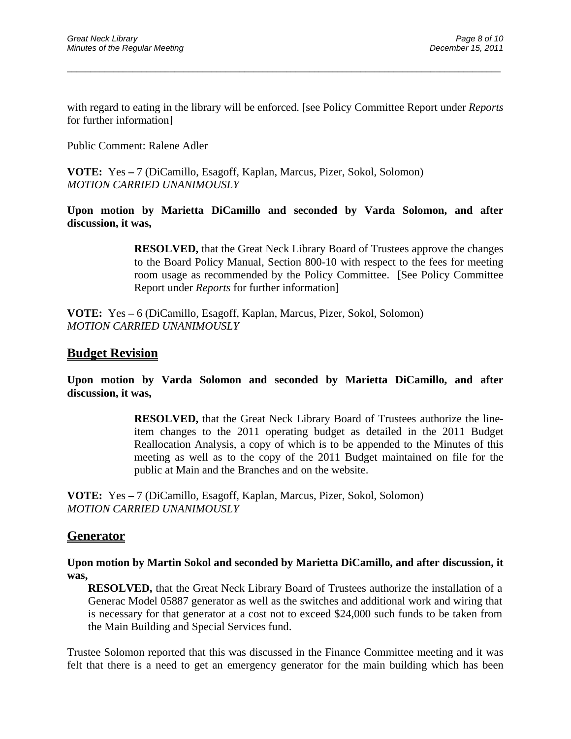with regard to eating in the library will be enforced. [see Policy Committee Report under *Reports* for further information]

 $\overline{a}$  , and the contribution of the contribution of the contribution of the contribution of the contribution of the contribution of the contribution of the contribution of the contribution of the contribution of the co

Public Comment: Ralene Adler

**VOTE:** Yes **–** 7 (DiCamillo, Esagoff, Kaplan, Marcus, Pizer, Sokol, Solomon) *MOTION CARRIED UNANIMOUSLY* 

**Upon motion by Marietta DiCamillo and seconded by Varda Solomon, and after discussion, it was,** 

> **RESOLVED,** that the Great Neck Library Board of Trustees approve the changes to the Board Policy Manual, Section 800-10 with respect to the fees for meeting room usage as recommended by the Policy Committee. [See Policy Committee Report under *Reports* for further information]

**VOTE:** Yes **–** 6 (DiCamillo, Esagoff, Kaplan, Marcus, Pizer, Sokol, Solomon) *MOTION CARRIED UNANIMOUSLY* 

## **Budget Revision**

**Upon motion by Varda Solomon and seconded by Marietta DiCamillo, and after discussion, it was,** 

> **RESOLVED,** that the Great Neck Library Board of Trustees authorize the lineitem changes to the 2011 operating budget as detailed in the 2011 Budget Reallocation Analysis, a copy of which is to be appended to the Minutes of this meeting as well as to the copy of the 2011 Budget maintained on file for the public at Main and the Branches and on the website.

**VOTE:** Yes **–** 7 (DiCamillo, Esagoff, Kaplan, Marcus, Pizer, Sokol, Solomon) *MOTION CARRIED UNANIMOUSLY* 

## **Generator**

**Upon motion by Martin Sokol and seconded by Marietta DiCamillo, and after discussion, it was,** 

**RESOLVED,** that the Great Neck Library Board of Trustees authorize the installation of a Generac Model 05887 generator as well as the switches and additional work and wiring that is necessary for that generator at a cost not to exceed \$24,000 such funds to be taken from the Main Building and Special Services fund.

Trustee Solomon reported that this was discussed in the Finance Committee meeting and it was felt that there is a need to get an emergency generator for the main building which has been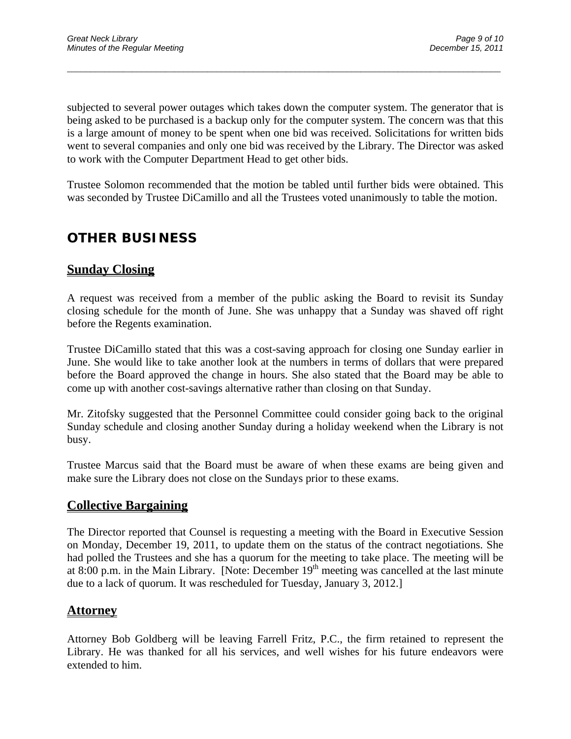subjected to several power outages which takes down the computer system. The generator that is being asked to be purchased is a backup only for the computer system. The concern was that this is a large amount of money to be spent when one bid was received. Solicitations for written bids went to several companies and only one bid was received by the Library. The Director was asked to work with the Computer Department Head to get other bids.

 $\overline{a}$  , and the contribution of the contribution of the contribution of the contribution of the contribution of the contribution of the contribution of the contribution of the contribution of the contribution of the co

Trustee Solomon recommended that the motion be tabled until further bids were obtained. This was seconded by Trustee DiCamillo and all the Trustees voted unanimously to table the motion.

# **OTHER BUSINESS**

## **Sunday Closing**

A request was received from a member of the public asking the Board to revisit its Sunday closing schedule for the month of June. She was unhappy that a Sunday was shaved off right before the Regents examination.

Trustee DiCamillo stated that this was a cost-saving approach for closing one Sunday earlier in June. She would like to take another look at the numbers in terms of dollars that were prepared before the Board approved the change in hours. She also stated that the Board may be able to come up with another cost-savings alternative rather than closing on that Sunday.

Mr. Zitofsky suggested that the Personnel Committee could consider going back to the original Sunday schedule and closing another Sunday during a holiday weekend when the Library is not busy.

Trustee Marcus said that the Board must be aware of when these exams are being given and make sure the Library does not close on the Sundays prior to these exams.

## **Collective Bargaining**

The Director reported that Counsel is requesting a meeting with the Board in Executive Session on Monday, December 19, 2011, to update them on the status of the contract negotiations. She had polled the Trustees and she has a quorum for the meeting to take place. The meeting will be at 8:00 p.m. in the Main Library. [Note: December  $19<sup>th</sup>$  meeting was cancelled at the last minute due to a lack of quorum. It was rescheduled for Tuesday, January 3, 2012.]

## **Attorney**

Attorney Bob Goldberg will be leaving Farrell Fritz, P.C., the firm retained to represent the Library. He was thanked for all his services, and well wishes for his future endeavors were extended to him.